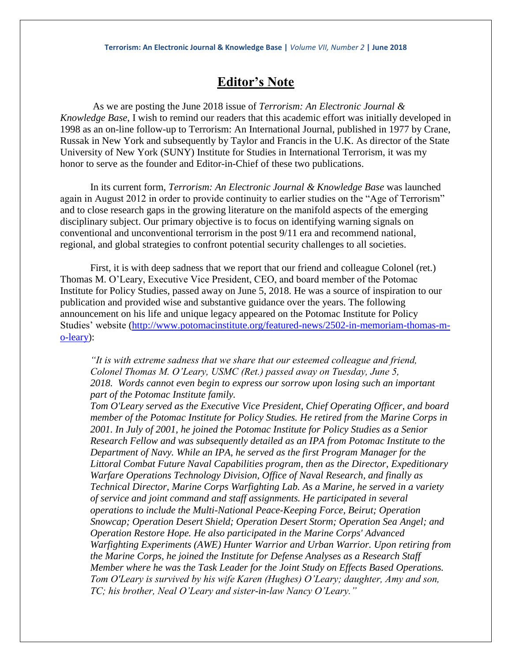## **Editor's Note**

As we are posting the June 2018 issue of *Terrorism: An Electronic Journal & Knowledge Base*, I wish to remind our readers that this academic effort was initially developed in 1998 as an on-line follow-up to Terrorism: An International Journal, published in 1977 by Crane, Russak in New York and subsequently by Taylor and Francis in the U.K. As director of the State University of New York (SUNY) Institute for Studies in International Terrorism, it was my honor to serve as the founder and Editor-in-Chief of these two publications.

In its current form, *Terrorism: An Electronic Journal & Knowledge Base* was launched again in August 2012 in order to provide continuity to earlier studies on the "Age of Terrorism" and to close research gaps in the growing literature on the manifold aspects of the emerging disciplinary subject. Our primary objective is to focus on identifying warning signals on conventional and unconventional terrorism in the post 9/11 era and recommend national, regional, and global strategies to confront potential security challenges to all societies.

First, it is with deep sadness that we report that our friend and colleague Colonel (ret.) Thomas M. O'Leary, Executive Vice President, CEO, and board member of the Potomac Institute for Policy Studies, passed away on June 5, 2018. He was a source of inspiration to our publication and provided wise and substantive guidance over the years. The following announcement on his life and unique legacy appeared on the Potomac Institute for Policy Studies' website [\(http://www.potomacinstitute.org/featured-news/2502-in-memoriam-thomas-m](http://www.potomacinstitute.org/featured-news/2502-in-memoriam-thomas-m-o-leary)[o-leary\)](http://www.potomacinstitute.org/featured-news/2502-in-memoriam-thomas-m-o-leary):

*"It is with extreme sadness that we share that our esteemed colleague and friend, Colonel Thomas M. O'Leary, USMC (Ret.) passed away on Tuesday, June 5, 2018. Words cannot even begin to express our sorrow upon losing such an important part of the Potomac Institute family.*

*Tom O'Leary served as the Executive Vice President, Chief Operating Officer, and board member of the Potomac Institute for Policy Studies. He retired from the Marine Corps in 2001. In July of 2001, he joined the Potomac Institute for Policy Studies as a Senior Research Fellow and was subsequently detailed as an IPA from Potomac Institute to the Department of Navy. While an IPA, he served as the first Program Manager for the Littoral Combat Future Naval Capabilities program, then as the Director, Expeditionary Warfare Operations Technology Division, Office of Naval Research, and finally as Technical Director, Marine Corps Warfighting Lab. As a Marine, he served in a variety of service and joint command and staff assignments. He participated in several operations to include the Multi-National Peace-Keeping Force, Beirut; Operation Snowcap; Operation Desert Shield; Operation Desert Storm; Operation Sea Angel; and Operation Restore Hope. He also participated in the Marine Corps' Advanced Warfighting Experiments (AWE) Hunter Warrior and Urban Warrior. Upon retiring from the Marine Corps, he joined the Institute for Defense Analyses as a Research Staff Member where he was the Task Leader for the Joint Study on Effects Based Operations. Tom O'Leary is survived by his wife Karen (Hughes) O'Leary; daughter, Amy and son, TC; his brother, Neal O'Leary and sister-in-law Nancy O'Leary."*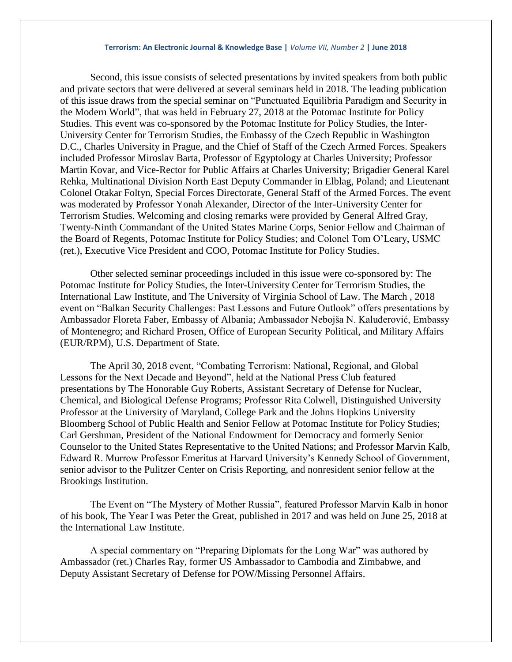## **Terrorism: An Electronic Journal & Knowledge Base |** *Volume VII, Number 2* **| June 2018**

Second, this issue consists of selected presentations by invited speakers from both public and private sectors that were delivered at several seminars held in 2018. The leading publication of this issue draws from the special seminar on "Punctuated Equilibria Paradigm and Security in the Modern World", that was held in February 27, 2018 at the Potomac Institute for Policy Studies. This event was co-sponsored by the Potomac Institute for Policy Studies, the Inter-University Center for Terrorism Studies, the Embassy of the Czech Republic in Washington D.C., Charles University in Prague, and the Chief of Staff of the Czech Armed Forces. Speakers included Professor Miroslav Barta, Professor of Egyptology at Charles University; Professor Martin Kovar, and Vice-Rector for Public Affairs at Charles University; Brigadier General Karel Rehka, Multinational Division North East Deputy Commander in Elblag, Poland; and Lieutenant Colonel Otakar Foltyn, Special Forces Directorate, General Staff of the Armed Forces. The event was moderated by Professor Yonah Alexander, Director of the Inter-University Center for Terrorism Studies. Welcoming and closing remarks were provided by General Alfred Gray, Twenty-Ninth Commandant of the United States Marine Corps, Senior Fellow and Chairman of the Board of Regents, Potomac Institute for Policy Studies; and Colonel Tom O'Leary, USMC (ret.), Executive Vice President and COO, Potomac Institute for Policy Studies.

Other selected seminar proceedings included in this issue were co-sponsored by: The Potomac Institute for Policy Studies, the Inter-University Center for Terrorism Studies, the International Law Institute, and The University of Virginia School of Law. The March , 2018 event on "Balkan Security Challenges: Past Lessons and Future Outlook" offers presentations by Ambassador Floreta Faber, Embassy of Albania; Ambassador Nebojša N. Kaluđerović, Embassy of Montenegro; and Richard Prosen, Office of European Security Political, and Military Affairs (EUR/RPM), U.S. Department of State.

The April 30, 2018 event, "Combating Terrorism: National, Regional, and Global Lessons for the Next Decade and Beyond", held at the National Press Club featured presentations by The Honorable Guy Roberts, Assistant Secretary of Defense for Nuclear, Chemical, and Biological Defense Programs; Professor Rita Colwell, Distinguished University Professor at the University of Maryland, College Park and the Johns Hopkins University Bloomberg School of Public Health and Senior Fellow at Potomac Institute for Policy Studies; Carl Gershman, President of the National Endowment for Democracy and formerly Senior Counselor to the United States Representative to the United Nations; and Professor Marvin Kalb, Edward R. Murrow Professor Emeritus at Harvard University's Kennedy School of Government, senior advisor to the Pulitzer Center on Crisis Reporting, and nonresident senior fellow at the Brookings Institution.

The Event on "The Mystery of Mother Russia", featured Professor Marvin Kalb in honor of his book, The Year I was Peter the Great, published in 2017 and was held on June 25, 2018 at the International Law Institute.

A special commentary on "Preparing Diplomats for the Long War" was authored by Ambassador (ret.) Charles Ray, former US Ambassador to Cambodia and Zimbabwe, and Deputy Assistant Secretary of Defense for POW/Missing Personnel Affairs.